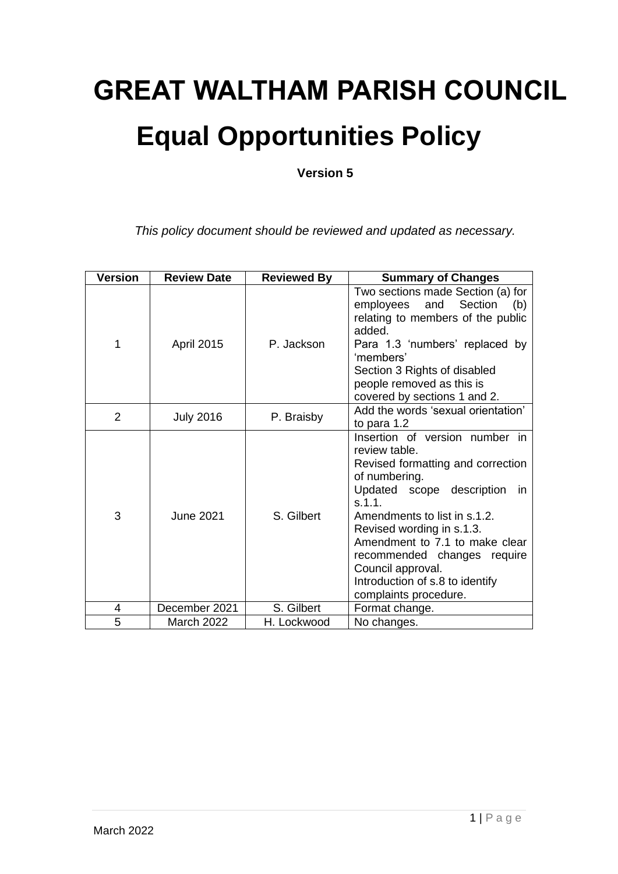# **GREAT WALTHAM PARISH COUNCIL Equal Opportunities Policy**

**Version 5**

*This policy document should be reviewed and updated as necessary.*

| <b>Version</b> | <b>Review Date</b> | <b>Reviewed By</b> | <b>Summary of Changes</b>                                                                                                                                                                                                                                                                                                                                           |
|----------------|--------------------|--------------------|---------------------------------------------------------------------------------------------------------------------------------------------------------------------------------------------------------------------------------------------------------------------------------------------------------------------------------------------------------------------|
| 1              | <b>April 2015</b>  | P. Jackson         | Two sections made Section (a) for<br>and Section<br>employees<br>(b)<br>relating to members of the public<br>added.<br>Para 1.3 'numbers' replaced by<br>'members'<br>Section 3 Rights of disabled<br>people removed as this is<br>covered by sections 1 and 2.                                                                                                     |
| 2              | <b>July 2016</b>   | P. Braisby         | Add the words 'sexual orientation'<br>to para 1.2                                                                                                                                                                                                                                                                                                                   |
| 3              | <b>June 2021</b>   | S. Gilbert         | Insertion of version number in<br>review table.<br>Revised formatting and correction<br>of numbering.<br>Updated scope description<br>- in<br>s.1.1.<br>Amendments to list in s.1.2.<br>Revised wording in s.1.3.<br>Amendment to 7.1 to make clear<br>recommended changes require<br>Council approval.<br>Introduction of s.8 to identify<br>complaints procedure. |
| 4              | December 2021      | S. Gilbert         | Format change.                                                                                                                                                                                                                                                                                                                                                      |
| 5              | <b>March 2022</b>  | H. Lockwood        | No changes.                                                                                                                                                                                                                                                                                                                                                         |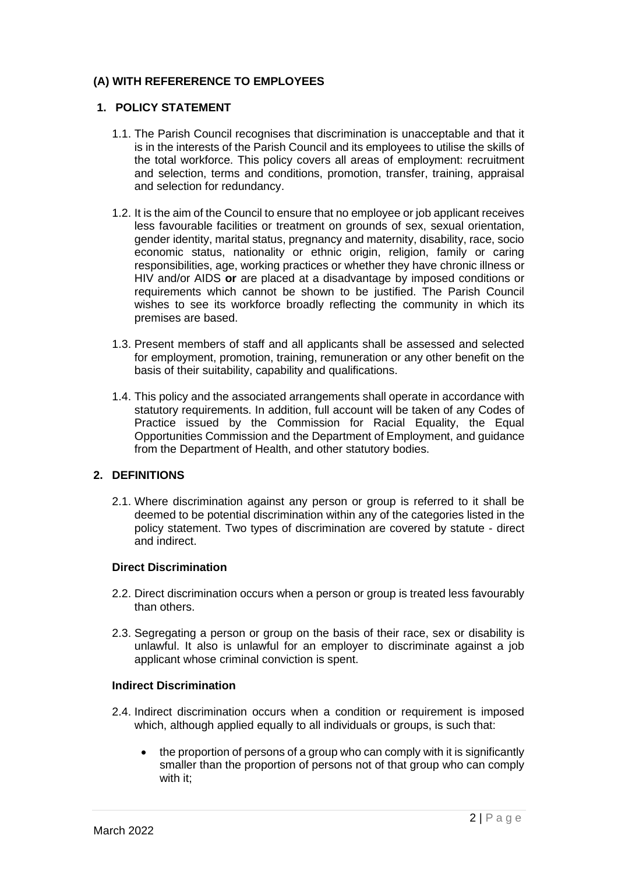# **(A) WITH REFERERENCE TO EMPLOYEES**

## **1. POLICY STATEMENT**

- 1.1. The Parish Council recognises that discrimination is unacceptable and that it is in the interests of the Parish Council and its employees to utilise the skills of the total workforce. This policy covers all areas of employment: recruitment and selection, terms and conditions, promotion, transfer, training, appraisal and selection for redundancy.
- 1.2. It is the aim of the Council to ensure that no employee or job applicant receives less favourable facilities or treatment on grounds of sex, sexual orientation, gender identity, marital status, pregnancy and maternity, disability, race, socio economic status, nationality or ethnic origin, religion, family or caring responsibilities, age, working practices or whether they have chronic illness or HIV and/or AIDS **or** are placed at a disadvantage by imposed conditions or requirements which cannot be shown to be justified. The Parish Council wishes to see its workforce broadly reflecting the community in which its premises are based.
- 1.3. Present members of staff and all applicants shall be assessed and selected for employment, promotion, training, remuneration or any other benefit on the basis of their suitability, capability and qualifications.
- 1.4. This policy and the associated arrangements shall operate in accordance with statutory requirements. In addition, full account will be taken of any Codes of Practice issued by the Commission for Racial Equality, the Equal Opportunities Commission and the Department of Employment, and guidance from the Department of Health, and other statutory bodies.

## **2. DEFINITIONS**

2.1. Where discrimination against any person or group is referred to it shall be deemed to be potential discrimination within any of the categories listed in the policy statement. Two types of discrimination are covered by statute - direct and indirect.

## **Direct Discrimination**

- 2.2. Direct discrimination occurs when a person or group is treated less favourably than others.
- 2.3. Segregating a person or group on the basis of their race, sex or disability is unlawful. It also is unlawful for an employer to discriminate against a job applicant whose criminal conviction is spent.

## **Indirect Discrimination**

- 2.4. Indirect discrimination occurs when a condition or requirement is imposed which, although applied equally to all individuals or groups, is such that:
	- the proportion of persons of a group who can comply with it is significantly smaller than the proportion of persons not of that group who can comply with it;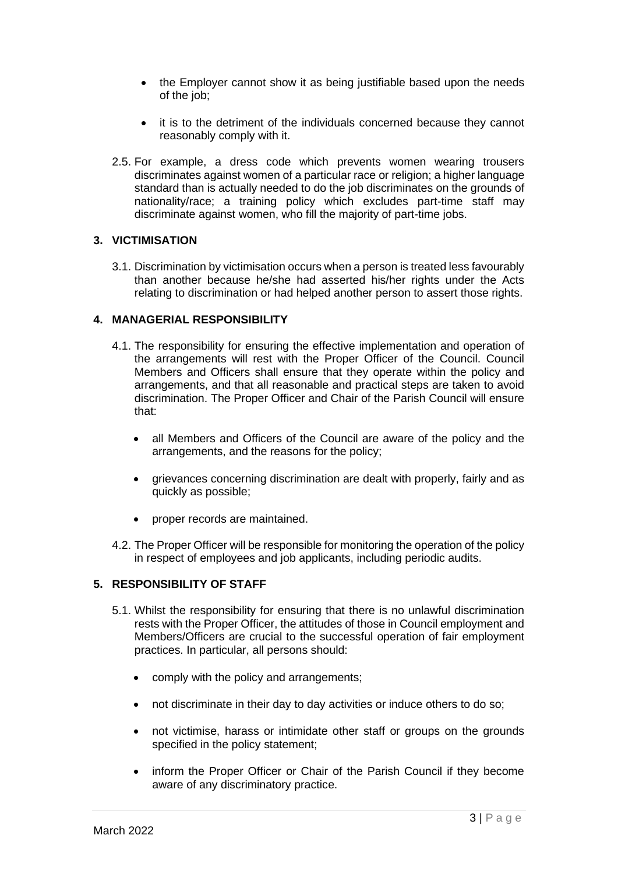- the Employer cannot show it as being justifiable based upon the needs of the job;
- it is to the detriment of the individuals concerned because they cannot reasonably comply with it.
- 2.5. For example, a dress code which prevents women wearing trousers discriminates against women of a particular race or religion; a higher language standard than is actually needed to do the job discriminates on the grounds of nationality/race; a training policy which excludes part-time staff may discriminate against women, who fill the majority of part-time jobs.

## **3. VICTIMISATION**

3.1. Discrimination by victimisation occurs when a person is treated less favourably than another because he/she had asserted his/her rights under the Acts relating to discrimination or had helped another person to assert those rights.

## **4. MANAGERIAL RESPONSIBILITY**

- 4.1. The responsibility for ensuring the effective implementation and operation of the arrangements will rest with the Proper Officer of the Council. Council Members and Officers shall ensure that they operate within the policy and arrangements, and that all reasonable and practical steps are taken to avoid discrimination. The Proper Officer and Chair of the Parish Council will ensure that:
	- all Members and Officers of the Council are aware of the policy and the arrangements, and the reasons for the policy;
	- grievances concerning discrimination are dealt with properly, fairly and as quickly as possible;
	- proper records are maintained.
- 4.2. The Proper Officer will be responsible for monitoring the operation of the policy in respect of employees and job applicants, including periodic audits.

# **5. RESPONSIBILITY OF STAFF**

- 5.1. Whilst the responsibility for ensuring that there is no unlawful discrimination rests with the Proper Officer, the attitudes of those in Council employment and Members/Officers are crucial to the successful operation of fair employment practices. In particular, all persons should:
	- comply with the policy and arrangements;
	- not discriminate in their day to day activities or induce others to do so;
	- not victimise, harass or intimidate other staff or groups on the grounds specified in the policy statement;
	- inform the Proper Officer or Chair of the Parish Council if they become aware of any discriminatory practice.